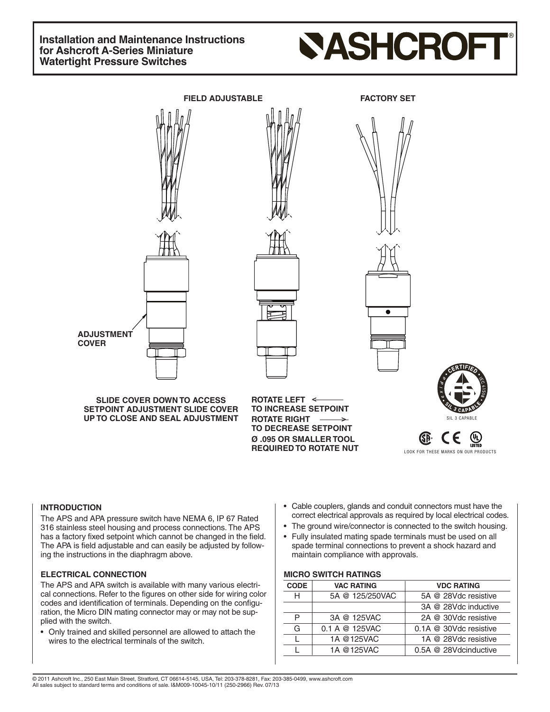# **Installation and Maintenance Instructions for Ashcroft A-Series Miniature Watertight Pressure Switches**

# **SASHCROFT**



# **INTRODUCTION**

The APS and APA pressure switch have NEMA 6, IP 67 Rated 316 stainless steel housing and process connections.The APS has a factory fixed setpoint which cannot be changed in the field. The APA is field adjustable and can easily be adjusted by following the instructions in the diaphragm above.

#### **ELECTRICAL CONNECTION**

The APS and APA switch is available with many various electrical connections. Refer to the figures on other side for wiring color codes and identification of terminals. Depending on the configuration, the Micro DIN mating connector may or may not be supplied with the switch.

• Only trained and skilled personnel are allowed to attach the wires to the electrical terminals of the switch.

- Cable couplers, glands and conduit connectors must have the correct electrical approvals as required by local electrical codes.
- The ground wire/connector is connected to the switch housing.
- Fully insulated mating spade terminals must be used on all spade terminal connections to prevent a shock hazard and maintain compliance with approvals.

#### **MICRO SWITCH RATINGS**

| <b>CODE</b> | <b>VAC RATING</b> | <b>VDC RATING</b>                                    |  |
|-------------|-------------------|------------------------------------------------------|--|
| н           | 5A @ 125/250VAC   | 5A @ 28Vdc resistive                                 |  |
|             |                   | 3A @ 28Vdc inductive                                 |  |
| P           | 3A @ 125VAC       | 2A @ 30Vdc resistive                                 |  |
| G           | 0.1 A @ 125VAC    | $0.1A \ @ \ 30Vdc$ resistive<br>1A @ 28Vdc resistive |  |
|             | 1A @125VAC        |                                                      |  |
|             | 1A @125VAC        | 0.5A @ 28Vdcinductive                                |  |